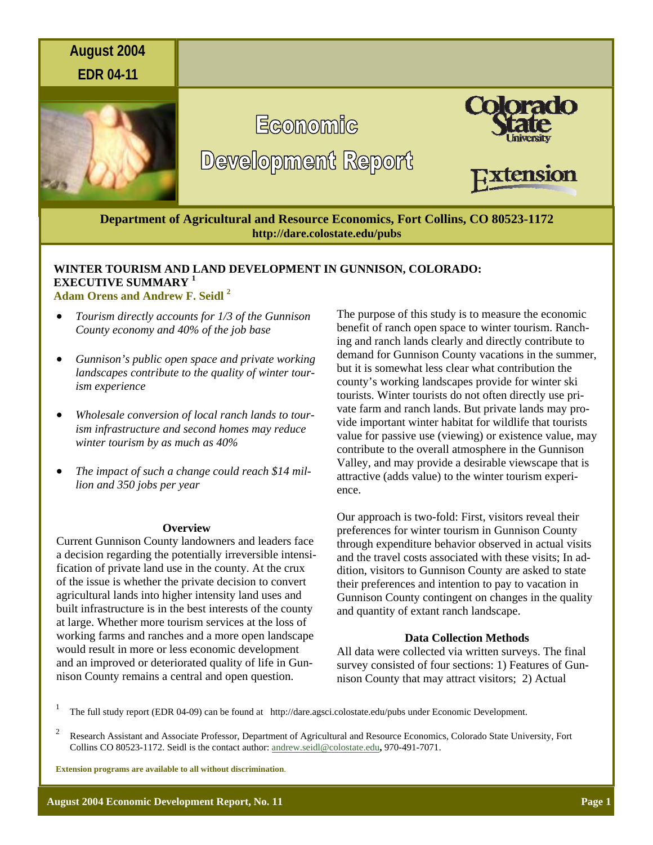

# **WINTER TOURISM AND LAND DEVELOPMENT IN GUNNISON, COLORADO: EXECUTIVE SUMMARY <sup>1</sup> Adam Orens and Andrew F. Seidl 2**

- *Tourism directly accounts for 1/3 of the Gunnison County economy and 40% of the job base*
- *Gunnison's public open space and private working landscapes contribute to the quality of winter tourism experience*
- *Wholesale conversion of local ranch lands to tourism infrastructure and second homes may reduce winter tourism by as much as 40%*
- *The impact of such a change could reach \$14 million and 350 jobs per year*

#### **Overview**

Current Gunnison County landowners and leaders face a decision regarding the potentially irreversible intensification of private land use in the county. At the crux of the issue is whether the private decision to convert agricultural lands into higher intensity land uses and built infrastructure is in the best interests of the county at large. Whether more tourism services at the loss of working farms and ranches and a more open landscape would result in more or less economic development and an improved or deteriorated quality of life in Gunnison County remains a central and open question.

The purpose of this study is to measure the economic benefit of ranch open space to winter tourism. Ranching and ranch lands clearly and directly contribute to demand for Gunnison County vacations in the summer, but it is somewhat less clear what contribution the county's working landscapes provide for winter ski tourists. Winter tourists do not often directly use private farm and ranch lands. But private lands may provide important winter habitat for wildlife that tourists value for passive use (viewing) or existence value, may contribute to the overall atmosphere in the Gunnison Valley, and may provide a desirable viewscape that is attractive (adds value) to the winter tourism experience.

Our approach is two-fold: First, visitors reveal their preferences for winter tourism in Gunnison County through expenditure behavior observed in actual visits and the travel costs associated with these visits; In addition, visitors to Gunnison County are asked to state their preferences and intention to pay to vacation in Gunnison County contingent on changes in the quality and quantity of extant ranch landscape.

### **Data Collection Methods**

All data were collected via written surveys. The final survey consisted of four sections: 1) Features of Gunnison County that may attract visitors; 2) Actual

1 The full study report (EDR 04-09) can be found at http://dare.agsci.colostate.edu/pubs under Economic Development.

2 Research Assistant and Associate Professor, Department of Agricultural and Resource Economics, Colorado State University, Fort Collins CO 80523-1172. Seidl is the contact author: andrew.seidl@colostate.edu**,** 970-491-7071.

**Extension programs are available to all without discrimination**.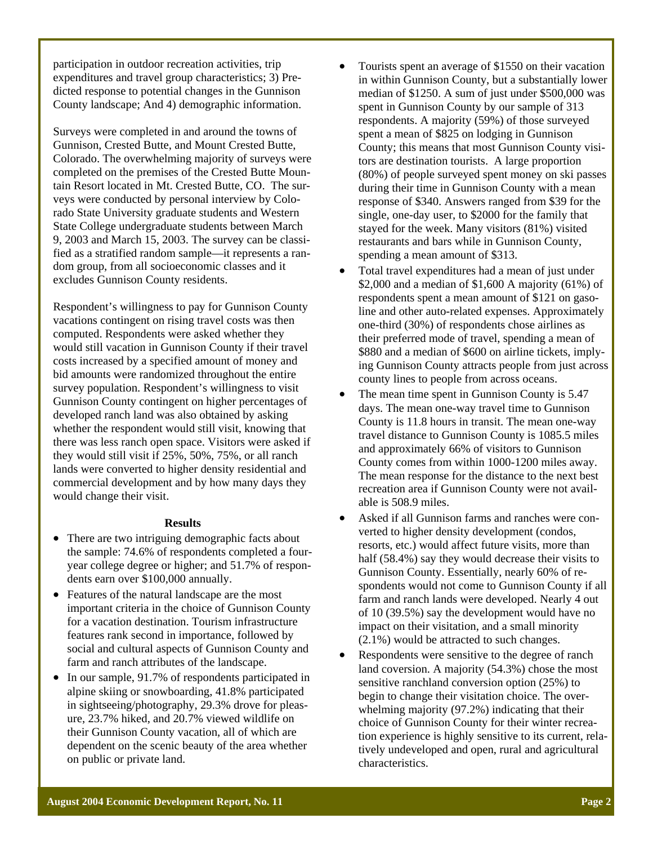participation in outdoor recreation activities, trip expenditures and travel group characteristics; 3) Predicted response to potential changes in the Gunnison County landscape; And 4) demographic information.

Surveys were completed in and around the towns of Gunnison, Crested Butte, and Mount Crested Butte, Colorado. The overwhelming majority of surveys were completed on the premises of the Crested Butte Mountain Resort located in Mt. Crested Butte, CO. The surveys were conducted by personal interview by Colorado State University graduate students and Western State College undergraduate students between March 9, 2003 and March 15, 2003. The survey can be classified as a stratified random sample—it represents a random group, from all socioeconomic classes and it excludes Gunnison County residents.

Respondent's willingness to pay for Gunnison County vacations contingent on rising travel costs was then computed. Respondents were asked whether they would still vacation in Gunnison County if their travel costs increased by a specified amount of money and bid amounts were randomized throughout the entire survey population. Respondent's willingness to visit Gunnison County contingent on higher percentages of developed ranch land was also obtained by asking whether the respondent would still visit, knowing that there was less ranch open space. Visitors were asked if they would still visit if 25%, 50%, 75%, or all ranch lands were converted to higher density residential and commercial development and by how many days they would change their visit.

## **Results**

- There are two intriguing demographic facts about the sample: 74.6% of respondents completed a fouryear college degree or higher; and 51.7% of respondents earn over \$100,000 annually.
- Features of the natural landscape are the most important criteria in the choice of Gunnison County for a vacation destination. Tourism infrastructure features rank second in importance, followed by social and cultural aspects of Gunnison County and farm and ranch attributes of the landscape.
- In our sample, 91.7% of respondents participated in alpine skiing or snowboarding, 41.8% participated in sightseeing/photography, 29.3% drove for pleasure, 23.7% hiked, and 20.7% viewed wildlife on their Gunnison County vacation, all of which are dependent on the scenic beauty of the area whether on public or private land.
- Tourists spent an average of \$1550 on their vacation in within Gunnison County, but a substantially lower median of \$1250. A sum of just under \$500,000 was spent in Gunnison County by our sample of 313 respondents. A majority (59%) of those surveyed spent a mean of \$825 on lodging in Gunnison County; this means that most Gunnison County visitors are destination tourists. A large proportion (80%) of people surveyed spent money on ski passes during their time in Gunnison County with a mean response of \$340. Answers ranged from \$39 for the single, one-day user, to \$2000 for the family that stayed for the week. Many visitors (81%) visited restaurants and bars while in Gunnison County, spending a mean amount of \$313.
- Total travel expenditures had a mean of just under \$2,000 and a median of \$1,600 A majority (61%) of respondents spent a mean amount of \$121 on gasoline and other auto-related expenses. Approximately one-third (30%) of respondents chose airlines as their preferred mode of travel, spending a mean of \$880 and a median of \$600 on airline tickets, implying Gunnison County attracts people from just across county lines to people from across oceans.
- The mean time spent in Gunnison County is  $5.47$ days. The mean one-way travel time to Gunnison County is 11.8 hours in transit. The mean one-way travel distance to Gunnison County is 1085.5 miles and approximately 66% of visitors to Gunnison County comes from within 1000-1200 miles away. The mean response for the distance to the next best recreation area if Gunnison County were not available is 508.9 miles.
- Asked if all Gunnison farms and ranches were converted to higher density development (condos, resorts, etc.) would affect future visits, more than half (58.4%) say they would decrease their visits to Gunnison County. Essentially, nearly 60% of respondents would not come to Gunnison County if all farm and ranch lands were developed. Nearly 4 out of 10 (39.5%) say the development would have no impact on their visitation, and a small minority (2.1%) would be attracted to such changes.
- Respondents were sensitive to the degree of ranch land coversion. A majority (54.3%) chose the most sensitive ranchland conversion option (25%) to begin to change their visitation choice. The overwhelming majority (97.2%) indicating that their choice of Gunnison County for their winter recreation experience is highly sensitive to its current, relatively undeveloped and open, rural and agricultural characteristics.